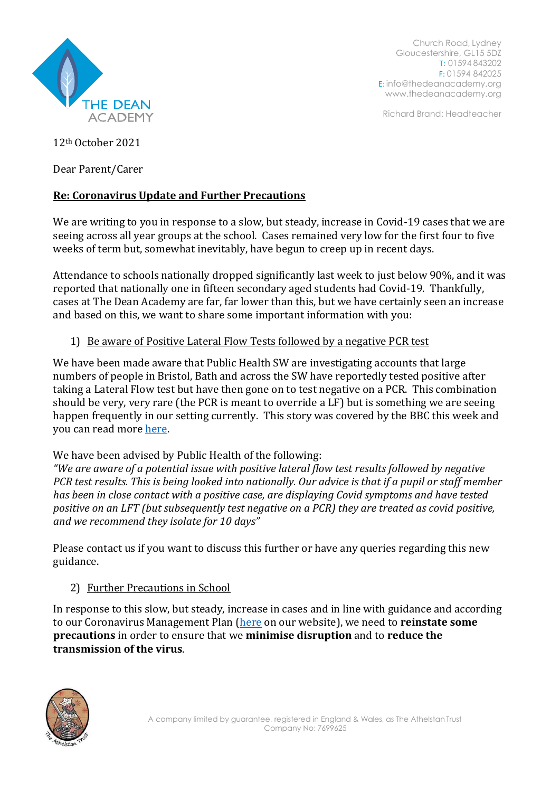

Church Road, Lydney Gloucestershire, GL15 5DZ T: 01594 843202 F: 01594 842025 E: [info@thedeanacademy.org](mailto:info@thedeanacademy.org) [www.thedeanacademy.org](http://www.thedeanacademy.org/)

Richard Brand: Headteacher

12th October 2021

Dear Parent/Carer

## **Re: Coronavirus Update and Further Precautions**

We are writing to you in response to a slow, but steady, increase in Covid-19 cases that we are seeing across all year groups at the school. Cases remained very low for the first four to five weeks of term but, somewhat inevitably, have begun to creep up in recent days.

Attendance to schools nationally dropped significantly last week to just below 90%, and it was reported that nationally one in fifteen secondary aged students had Covid-19. Thankfully, cases at The Dean Academy are far, far lower than this, but we have certainly seen an increase and based on this, we want to share some important information with you:

## 1) Be aware of Positive Lateral Flow Tests followed by a negative PCR test

We have been made aware that Public Health SW are investigating accounts that large numbers of people in Bristol, Bath and across the SW have reportedly tested positive after taking a Lateral Flow test but have then gone on to test negative on a PCR. This combination should be very, very rare (the PCR is meant to override a LF) but is something we are seeing happen frequently in our setting currently. This story was covered by the BBC this week and you can read more [here.](https://www.bbc.co.uk/news/uk-england-58841259?at_custom2=facebook_page&at_medium=custom7&at_custom4=076C692C-28D1-11EC-94C1-CC5A16F31EAE&at_custom3=BBC+News&at_custom1=%5Bpost+type%5D&at_campaign=64&fbclid=IwAR0zfHCQar3fZyIRohZuIpCfG-nfGJ718hLxvt0SM8mHiLgncP2k9BEddo8)

We have been advised by Public Health of the following:

*"We are aware of a potential issue with positive lateral flow test results followed by negative PCR test results. This is being looked into nationally. Our advice is that if a pupil or staff member has been in close contact with a positive case, are displaying Covid symptoms and have tested positive on an LFT (but subsequently test negative on a PCR) they are treated as covid positive, and we recommend they isolate for 10 days"*

Please contact us if you want to discuss this further or have any queries regarding this new guidance.

## 2) Further Precautions in School

In response to this slow, but steady, increase in cases and in line with guidance and according to our Coronavirus Management Plan [\(here](https://thedeanacademy.org/wp-content/uploads/2021/09/Outbreak-Management-Plan-August-2021.pdf) on our website), we need to **reinstate some precautions** in order to ensure that we **minimise disruption** and to **reduce the transmission of the virus**.